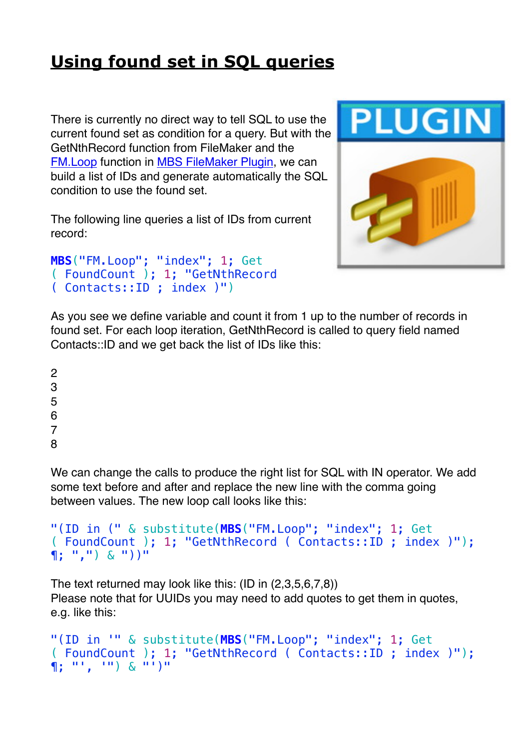## **[Using found set in SQL queries](https://www.mbs-plugins.com/archive/2018-10-23/Using_found_set_in_SQL_queries/monkeybreadsoftware_blog_filemaker)**

There is currently no direct way to tell SQL to use the current found set as condition for a query. But with the GetNthRecord function from FileMaker and the [FM.Loop](http://www.mbsplugins.eu/FMLoop.shtml) function in [MBS FileMaker Plugin](http://monkeybreadsoftware.com/filemaker/), we can build a list of IDs and generate automatically the SQL condition to use the found set.

The following line queries a list of IDs from current record:

```
MBS("FM.Loop"; "index"; 1; Get
( FoundCount ); 1; "GetNthRecord 
( Contacts::ID ; index )")
```


As you see we define variable and count it from 1 up to the number of records in found set. For each loop iteration, GetNthRecord is called to query field named Contacts::ID and we get back the list of IDs like this:

8

We can change the calls to produce the right list for SQL with IN operator. We add some text before and after and replace the new line with the comma going between values. The new loop call looks like this:

```
"(ID in (" & substitute(MBS("FM.Loop"; "index"; 1; Get
( FoundCount ); 1; "GetNthRecord ( Contacts::ID ; index )"); 
\P; ",") & "))"
```
The text returned may look like this: (ID in (2,3,5,6,7,8)) Please note that for UUIDs you may need to add quotes to get them in quotes, e.g. like this:

```
"(ID in '" & substitute(MBS("FM.Loop"; "index"; 1; Get
( FoundCount ); 1; "GetNthRecord ( Contacts::ID ; index )"); 
\P; ", ") & "')"
```